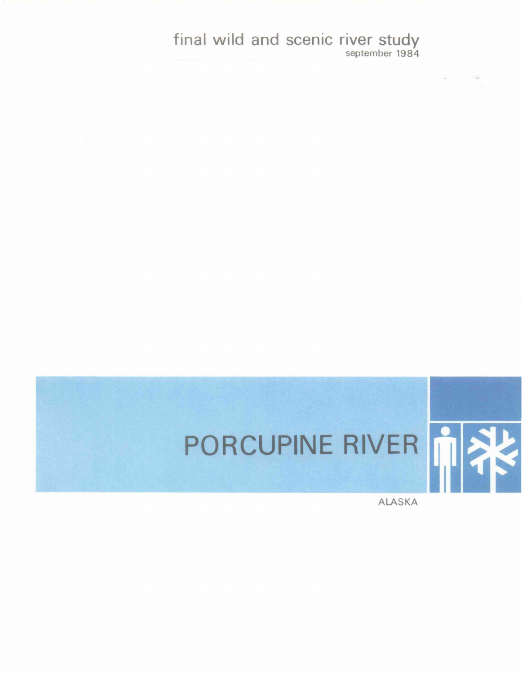final wild and scenic river study september 1984

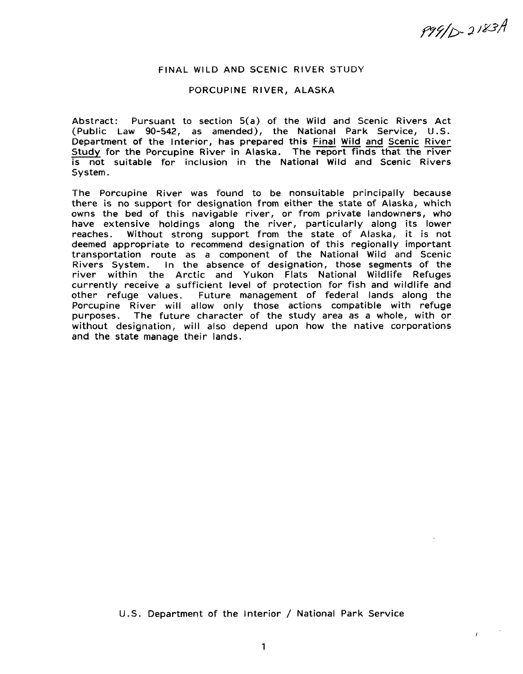P99/D-2183A

 $\mathbf{r}$ 

#### FINAL WILD AND SCENIC RIVER STUDY

#### PORCUPINE RIVER, ALASKA

Abstract: Pursuant to section S(a) of the Wild and Scenic Rivers Act (Public Law 90-542, as amended), the National Park Service, U.S. Department of the Interior, has prepared this Final Wild and Scenic River Study for the Porcupine River in Alaska. The report finds that the river is not suitable for inclusion in the National Wild and Scenic Rivers System.

The Porcupine River was found to be nonsuitable principally because there is no support for designation from either the state of Alaska, which owns the bed of this navigable river, or from private landowners, who have extensive holdings along the river, particularly along its lower reaches. Without strong support from the state of Alaska, it is not deemed appropriate to recommend designation of this regionally important transportation route as a component of the National Wild and Scenic Rivers System. In the absence of designation, those segments of the river within the Arctic and Yukon Flats National Wildlife Refuges currently receive a sufficient level of protection for fish and wildlife and other refuge values. Future management of federal lands along the Porcupine River will allow only those actions compatible with refuge purposes. The future character of the study area as a whole, with or without designation, will also depend upon how the native corporations and the state manage their lands.

#### U.S. Department of the Interior / National Park Service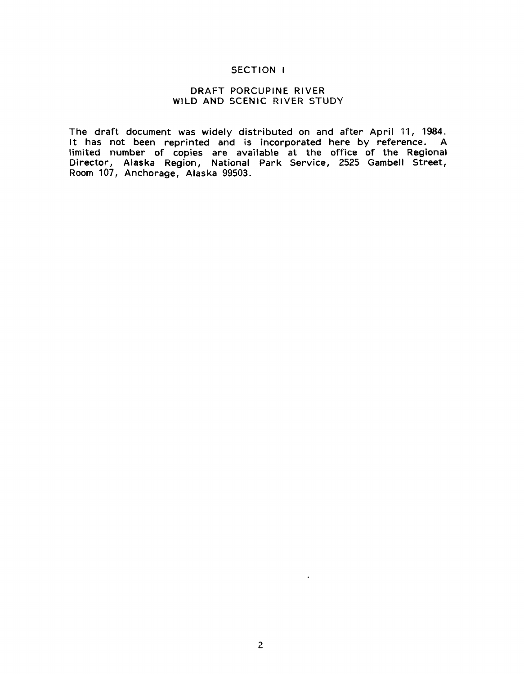#### SECTION I

#### DRAFT PORCUPINE RIVER WILD AND SCENIC RIVER STUDY

The draft document was widely distributed on and after April 11, 1984. It has not been reprinted and is incorporated here by reference. A limited number of copies are available at the office of the Regional Director, Alaska Region, National Park Service, 2525 Gambell Street, Room 107, Anchorage, Alaska 99503.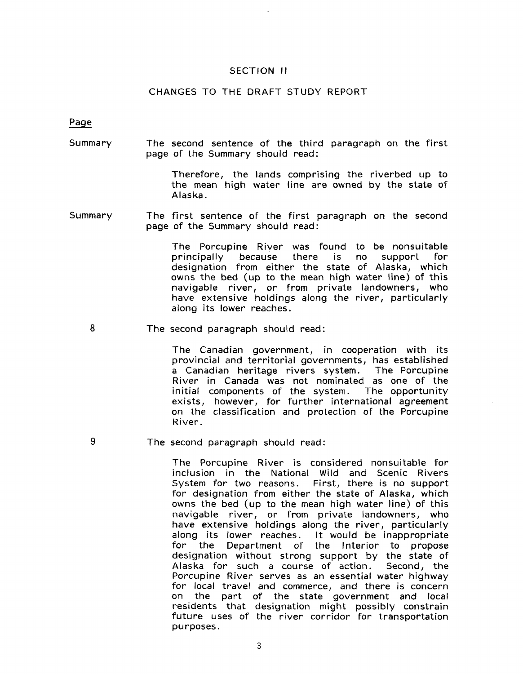#### SECTION II

#### CHANGES TO THE DRAFT STUDY REPORT

Page

9

Summary The second sentence of the third paragraph on the first page of the Summary should read:

> Therefore, the lands comprising the riverbed up to the mean high water line are owned by the state of Alaska.

Summary The first sentence of the first paragraph on the second page of the Summary should read:

> The Porcupine River was found to be nonsuitable<br>principally because there is no support for  $principle$ designation from either the state of Alaska, which owns the bed (up to the mean high water line) of this navigable river, or from private landowners, who have extensive holdings along the river, particularly along its lower reaches.

8 The second paragraph should read:

> The Canadian government, in cooperation with its provincial and territorial governments, has established a Canadian heritage rivers system. River in Canada was not nominated as one of the initial components of the system. The opportunity exists, however, for further international agreement on the classification and protection of the Porcupine River.

The second paragraph should read:

The Porcupine River is considered nonsuitable for inclusion in the National Wild and Scenic Rivers System for two reasons. First, there is no support for designation from either the state of Alaska, which owns the bed (up to the mean high water line) of this navigable river, or from private landowners, who have extensive holdings along the river, particularly along its lower reaches. It would be inappropriate Department of the Interior to propose designation without strong support by the state of Alaska for such a course of action. Second, the Porcupine River serves as an essential water highway for local travel and commerce, and there is concern on the part of the state government and local residents that designation might possibly constrain future uses of the river corridor for transportation purposes.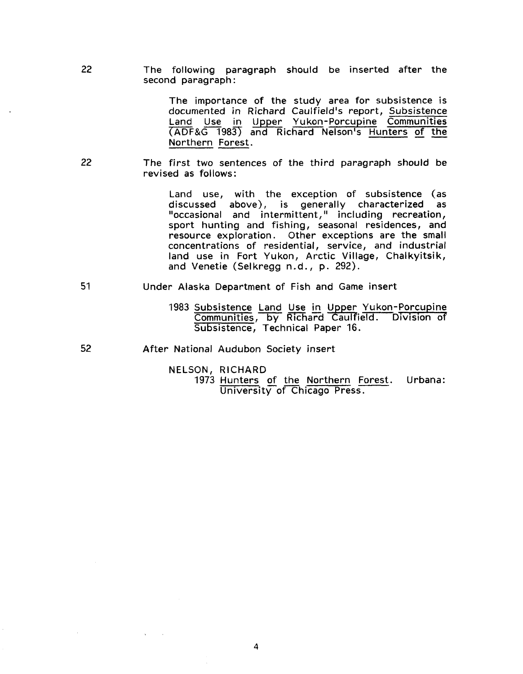The following paragraph should be inserted after the second paragraph:

> The importance of the study area for subsistence is documented in Richard Caulfield's report, Subsistence Land Use in Upper Yukon-Porcupine Communities (ADF&G 1983) and Richard Nelson's Hunters of the Northern Forest.

22 The first two sentences of the third paragraph should be revised as follows:

> Land use, with the exception of subsistence (as discussed above), is generally characterized as "occasional and intermittent," including recreation, sport hunting and fishing, seasonal residences, and resource exploration. Other exceptions are the small concentrations of residential, service, and industrial land use in Fort Yukon, Arctic Village, Chalkyitsik, and Venetie (Selkregg n.d., p. 292).

- 51 Under Alaska Department of Fish and Game insert
	- 1983 Subsistence Land Use in Upper Yukon-Porcupine Communities, by Richard Caulfield. Division of Subsistence, Technical Paper 16.
- 52 After National Audubon Society insert

22

NELSON, RICHARD

1973 Hunters of the Northern Forest. Urbana: University of Chicago Press.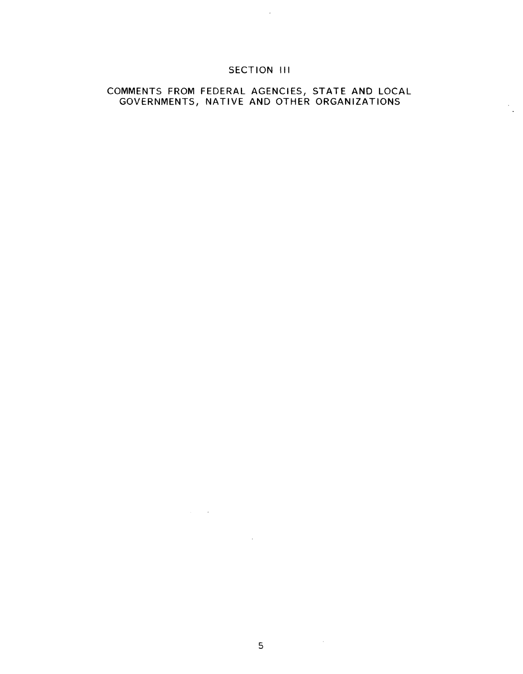### SECTION III

 $\sim 10^6$ 

#### COMMENTS FROM FEDERAL AGENCIES, STATE AND LOCAL GOVERNMENTS, NATIVE AND OTHER ORGANIZATIONS

 $\frac{1}{2}$ 

5

 $\sim 10^6$ 

 $\mathcal{L}^{\text{max}}_{\text{max}}$  ,  $\mathcal{L}^{\text{max}}_{\text{max}}$ 

 $\label{eq:2.1} \mathcal{L}^{\text{max}}_{\text{max}}(\mathbf{r},\mathbf{r}) = \mathcal{L}^{\text{max}}_{\text{max}}(\mathbf{r},\mathbf{r})$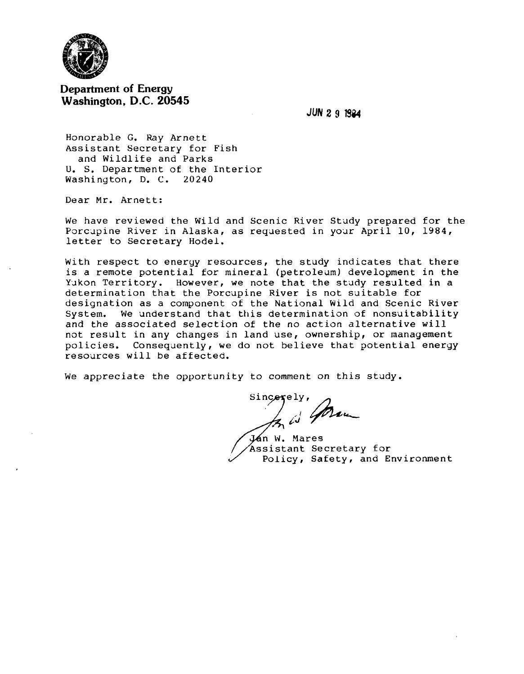

### **Department of Energy Washington, D.C. 20545**

**JUN 2 9 1Si4** 

Honorable G. Ray Arnett Assistant Secretary for Fish and Wildlife and Parks u. s. Department of the Interior Washington, D. c. 20240

Dear Mr. Arnett:

We have reviewed the Wild and Scenic River Study prepared for the Porcupine River in Alaska, as requested in your April 10, 1984, letter to Secretary Hodel.

With respect to energy resources, the study indicates that there is a remote potential for mineral (petroleum) development in the Yikon Territory. However, we note that the study resulted in a determination that the Porcupine River is not suitable for designation as a component of the National Wild and Scenic River System. We understand that this determination of nonsuitability and the associated selection of the no action alternative will not result in any changes in land use, ownership, or management policies. Consequently, we do not believe that potential energy resources will be affected.

We appreciate the opportunity to comment on this study.

 $e^{i\gamma}$ ,  $\gamma$ , I "'--- *t,.J* 

Ján W. Mares Assistant Secretary for Policy, Safety, and Environment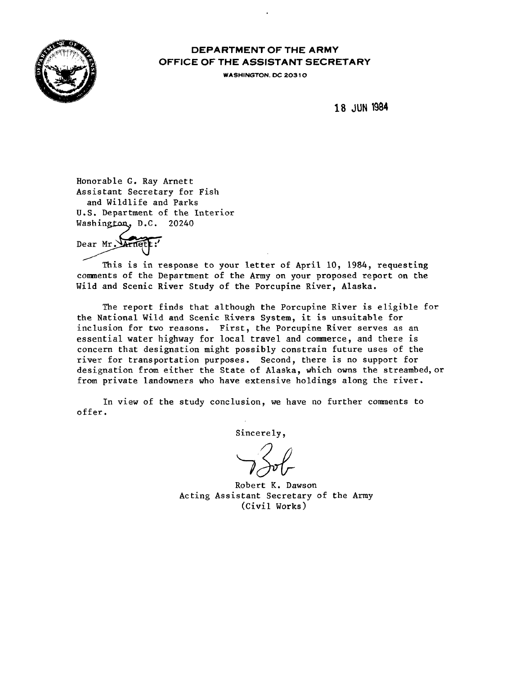

## DEPARTMENT OF THE ARMY OFFICE OF THE ASSISTANT SECRETARY

WASHINGTON. DC 20310

18 JUN 1994

Honorable G. Ray Arnett Assistant Secretary for Fish and Wildlife and Parks U.S. Department of the Interior Washington, D.C. 20240

Dear Mr.

This is in response to your letter of April 10, 1984, requesting conments of the Department of the Army on your proposed report on the Wild and Scenic River Study of the Porcupine River, Alaska.

The report finds that although the Porcupine River is eligible for the National Wild and Scenic Rivers System, it is unsuitable for inclusion for two reasons. First, the Porcupine River serves as an essential water highway for local travel and connnerce, and there is concern that designation might possibly constrain future uses of the river for transportation purposes. Second, there is no support for designation from either the State of Alaska, which owns the streambed,or from private landowners who have extensive holdings along the river.

In view of the study conclusion, we have no further comments to offer.

Sincerely,

Robert K. Dawson Acting Assistant Secretary of the Army (Civil Works)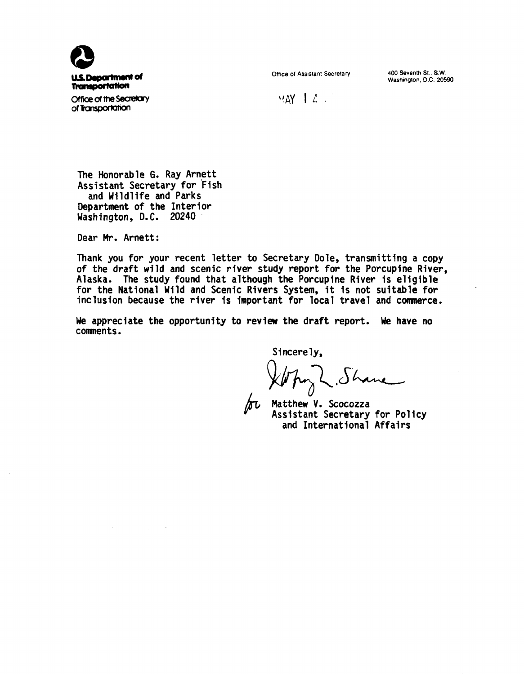

Office of Assistant Secretary 400 Seventh St., S.W.

Washington. D.C. 20590

 $MAY$   $12$ 

**Office of the Secretary** of Transportation

The Honorable G. Ray Arnett Assistant Secretary for Fish and Wildlife and Parks Department of the Interior Washington, D.C. 20240

Dear Mr. Arnett:

Thank you for your recent letter to Secretary Dole, transmitting a copy of the draft wild and scenic river study report for the Porcupine River. Alaska. The study found that although the Porcupine River is eligible for the National Wild and Scenic Rivers System, it is not suitable for inclusion because the river is important for local travel and commerce.

We appreciate the opportunity to review the draft report. We have no conments.

Sincerely,

Matthew V. Scocozza Assistant Secretary for Policy and International Affairs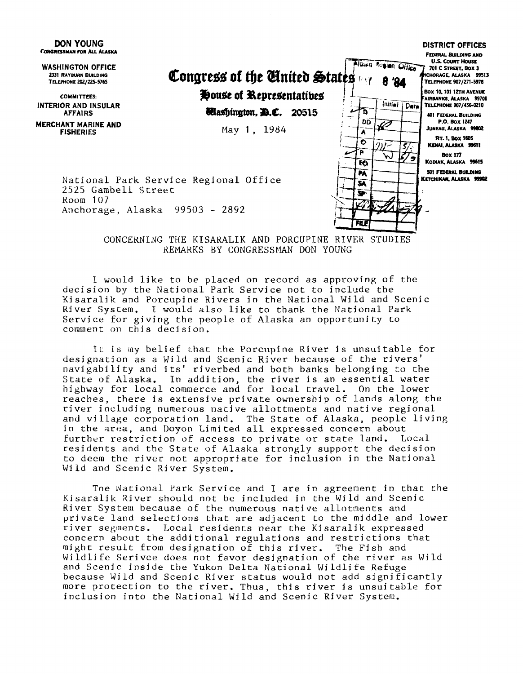

CONCERNING THE KISARALIK AND PORCUPINE RIVER STUDIES REMARKS BY CONGRESSMAN DON YOUNG

I would like to be placed on record as approving of the decision by the National Park Service not to include the Kisaralik and Porcupine Rivers in the National Wild and Scenic River System. I would also like to thank the National Park Service for giving the people of Alaska an opportunity to comment on this decision.

It is my belief that the Porcupine River is unsuitable for designation as a Wild and Scenic River because of the rivers' navigability and its' riverbed and both banks belonging to the State of Alaska. In addition, the river is an essential water highway for local commerce and for local travel. On the lower reaches, there is extensive private ownership of lands along the river including numerous native allottments and native regional and village corporation land. The State of Alaska, people living in the area, and Doyon Limited all expressed concern about<br>further restriction of access to private or state land. Local further restriction of access to private or state land. residents and the State of Alaska strongly support the decision to deem the river not appropriate for inclusion in the National Wild and Scenic River System.

The National Park Service and I are in agreement in that the Kisaralik River should not be included in the Wild and Scenic River System because of the numerous native allotments and private land selections that are adjacent to the middle and lower river segments. Local residents near the Kisaralik expressed concern about the additional regulations and restrictions that might result from designation of this river. The Fish and Wildlife Serivce does not favor designation of the river as Wild and Scenic inside the Yukon Delta National Wildlife Refuge because Wild and Scenic River status would not add significantly more protection to the river. Thus, this river is unsuitable for inclusion into the National Wild and Scenic River System.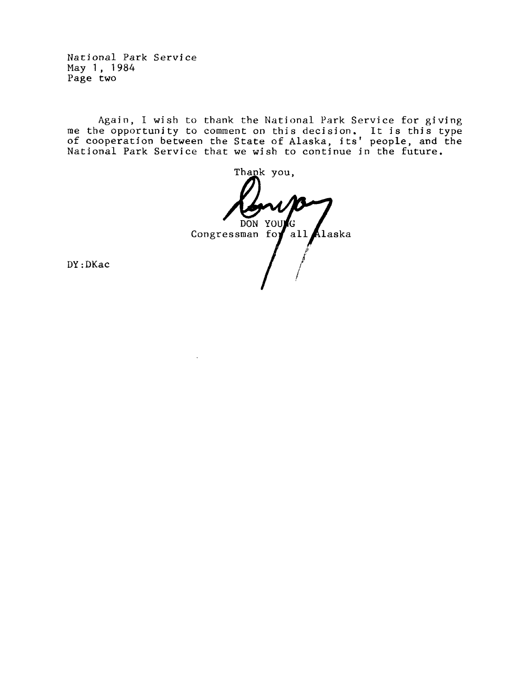National Park Service May 1, 1984 Page two

Again, I wish to thank the National Park Service for giving me the opportunity to comment on this decision. It is this type of cooperation between the State of Alaska, its' people, and the National Park Service that we wish to continue in the future.

Thank you, DON YOU Ġ Congressman for all Alaska

DY:DKac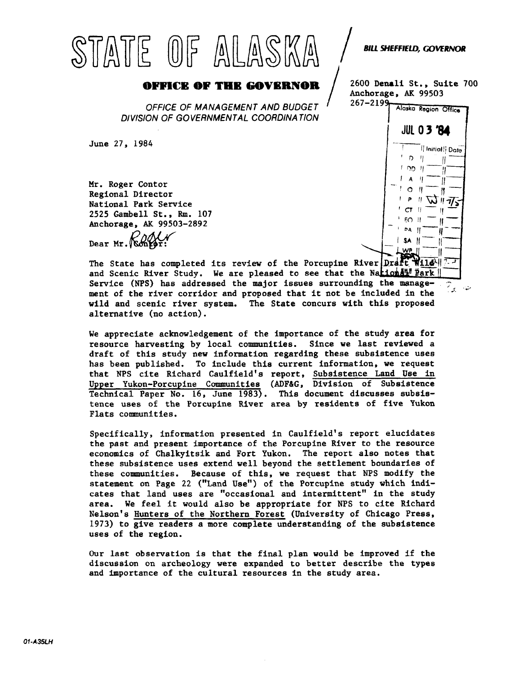# $STATE$   $0F$   $ALASWA$   $/$   $\sim$   $F$   $\sim$   $G$ **OFFICE OF THE GOVERNOR**  $\left(\bigcup_{n=0}^{\infty} \bigcup_{n=0}^{\infty} \bigcup_{n=0}^{\infty} \bigcup_{n=0}^{\infty} \bigcup_{n=0}^{\infty} \bigcup_{n=0}^{\infty} \bigcup_{n=0}^{\infty} \bigcup_{n=0}^{\infty} \bigcup_{n=0}^{\infty} \bigcup_{n=0}^{\infty} \bigcup_{n=0}^{\infty} \bigcup_{n=0}^{\infty} \bigcup_{n=0}^{\infty} \bigcup_{n=0}^{\infty} \bigcup_{n=0}^{\in$

OFFICE OF MANAGEMENT AND BUDGET DIVISION OF GOVERNMENTAL COORDINATION

June 27, 1984

Mr. Roger Contor Regional Director National Park Service 2525 Gambell St., Rm. 107 Anchorage, AK 99503-2892 Dear Mr. Konker

Anchorage, AK 99503<br>267-2199



The State has completed its review of the Porcupine River  $\left|\text{Ord}\right|$  Wildand Scenic River Study. We are pleased to see that the Nationall<sup>e</sup> Park Service (NPS) has addressed the major issues surrounding the manage-  $\sqrt{2}$ ment of the river corridor and proposed that it not be included in the wild and scenic river system. The State concurs with this proposed alternative (no action).

We appreciate acknowledgement of the importance of the study area for resource harvesting by local communities. Since we last reviewed a draft of this study new information regarding these subsistence uses has been published. To include this current information, we request that NPS cite Richard Caulfield's report, Subsistence Land Use in Upper Yukon-Porcupine Communities (ADF&G, Division of Subsistence Technical Paper No. 16, June 1983). This document discusses subsistence uses of the Porcupine River area by residents of five Yukon Flats communities.

Specifically, information presented in Caulfield's report elucidates the past and present importance of the Porcupine River to the resource economics of Chalkyitsik and Fort Yukon. The report also notes that these subsistence uses extend well beyond the settlement boundaries of these communities. Because of this, we request that NPS modify the statement on Page 22 ("Land Use") of the Porcupine study which indicates that land uses are "occasional and intermittent" in the study area. We feel it would also be appropriate for NPS to cite Richard Nelson's Hunters of the Northern Forest (University of Chicago Press, 1973) to give readers a more complete understanding of the subsistence uses of the region.

Our last observation is that the final plan would be improved if the discussion on archeology were expanded to better describe the types and importance of the cultural resources in the study area.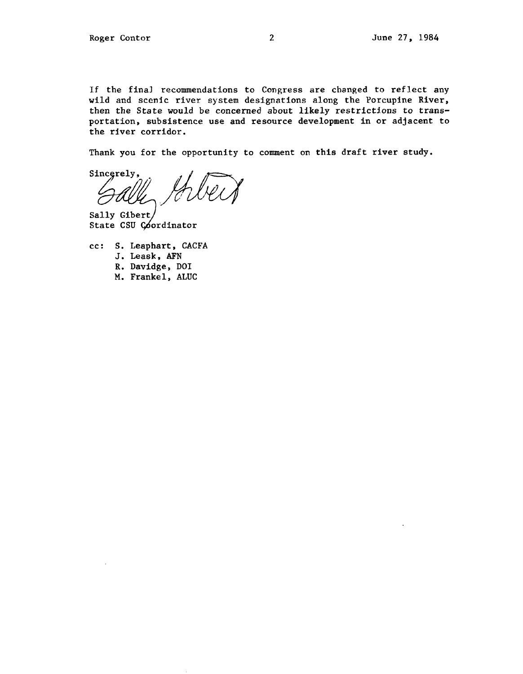If the final recommendations to Congress are changed to reflect any wild and scenic river system designations along the Porcupine River, then the State would be concerned about likely restrictions to transportation, subsistence use and resource development in or adjacent to the river corridor.

Thank you for the opportunity to comment on this draft river study.

Sincerely,

Sally Gibert State CSU Coordinator

- cc: S. Leaphart, CACFA
	- J. Leask, AFN
	- R. Davidge, DOI
	- M. Frankel, ALUC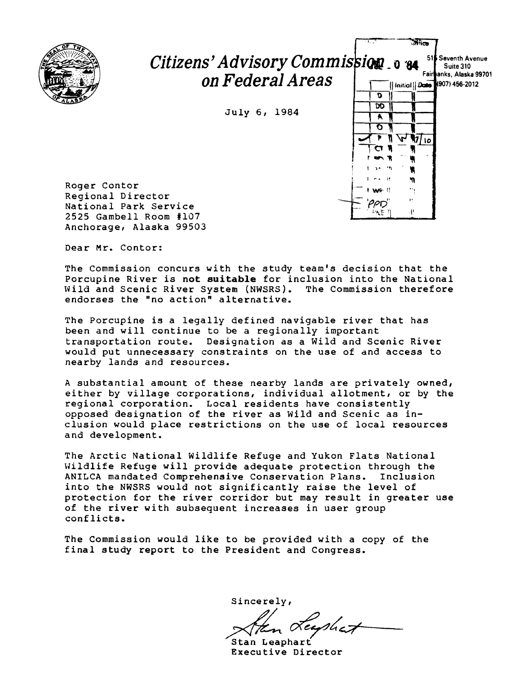

## Citizens' Advisory Commission of  $\mathbf{B}$  **618** Seventh Avenue  $\textit{on Federal Areas} \quad \textcolor{red}{\displaystyle \big\vert} \textcolor{red}{\overbrace{\textcolor{blue}{\mathsf{m}:\textsf{field}}}^{\textsf{FairPanks, Alaska 99701}}}$

July 6, 1984



 $\overline{\mathcal{N}}$ ica

Roger Contor Regional Director National Park Service 2525 Gambell Room #107 Anchorage, Alaska 99503

Dear Mr. Contor:

The Commission concurs with the study team's decision that the Porcupine River is **not suitable** for inclusion into the National Wild and Scenic River System (NWSRS). endorses the "no action" alternative.

The Porcupine is a legally defined navigable river that has been and will continue to be a regionally important transportation route. Designation as a Wild and Scenic River would put unnecessary constraints on the use of and access to nearby lands and resources.

A substantial amount of these nearby lands are privately owned, either by village corporations, individual allotment, or by the regional corporation. Local residents have consistently opposed designation of the river as Wild and Scenic as *in*clusion would place restrictions on the use of local resources and development.

The Arctic National Wildlife Refuge and Yukon Flats National Wildlife Refuge will provide adequate protection through the ANILCA mandated Comprehensive Conservation Plans. Inclusion into the NWSRS would not significantly raise the level of protection for the river corridor but may result in greater use of the river with subsequent increases in user group conflicts.

The Commission would like to be provided with a copy of the final study report to the President and Congress.

Sincerely,

sincerely,<br>Xten Leaphart<br>Stan Leaphart

Stan Leaphart<br>Executive Director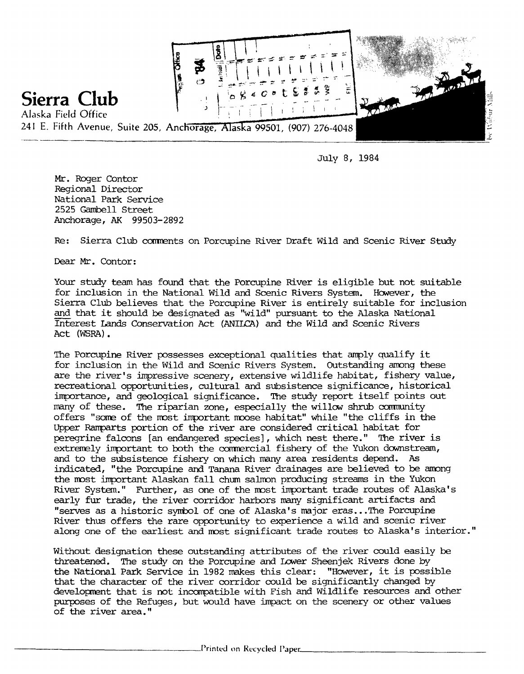

July 8, 1984

Mr. Roger Contor Regional Director National Park Service 2525 Gambell Street Anchorage, AK 99503-2892

Re: Sierra Club conments on Porcupine River Draft Wild and Scenic River Study

Dear Mr. Contor:

Your study team has found that the Porcupine River is eligible but not suitable for inclusion in the National Wild and Scenic Rivers System. However, the Sierra Club believes that the Porcupine River is entirely suitable for inclusion and that it should be designated as "wild" pursuant to the Alaska National Interest I.ands Conservation Act (ANILCA) and the Wild and Scenic Rivers Act (WSRA).

The Porcupine River possesses exceptional qualities that amply qualify it for inclusion in the Wild and Scenic Rivers System. outstanding anong these are the river's impressive scenery, extensive wildlife habitat, fishery value, recreational opportunities, cultural and subsistence significance, historical importance, and geological significance. The study report itself points out many of these. The riparian zone, especially the willow shrub community offers "some of the most important moose habitat" while "the cliffs in the Upper Ramparts portion of the river are considered critical habitat for peregrine falcons [an endangered species] , which nest there." The river is extremely important to both the commercial fishery of the Yukon downstream, and to the subsistence fishery on which many area residents depend. As indicated, "the Porcupine and Tanana River drainages are believed to be anong the most important Alaskan fall chum salmon producing streams in the Yukon River System." Further, as one of the most important trade routes of Alaska's early fur trade, the river corridor harbors many significant artifacts and "serves as a historic syrrbol of one of Alaska's major eras ••. The Porcupine River thus offers the rare opportunity to experience a wild and scenic river along one of the earliest and most significant trade routes to Alaska's interior."

Without designation these outstanding attributes of the river could easily be threatened. The study on the Porcupine and Lower Sheenjek Rivers done by the National Park Service in 1982 makes this clear: "However, it is possible that the character of the river corridor could be significantly changed by development that is not incompatible with Fish and Wildlife resources and other purposes of the Refuges, but would have impact on the scenery or other values of the river area."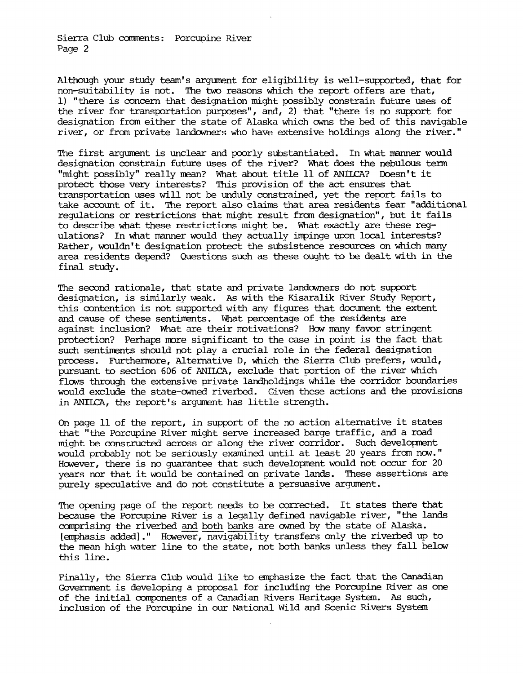Sierra Club caments: Porcuoine River Page 2

Although your study team's argument for eligibility is well-supported, that for non-suitability is not. The two reasons which the report offers are that, 1) "there is concern that designation might possibly constrain future uses of the river for transportation purposes", and, 2) that "there is no support for designation from either the state of Alaska which owns the bed of this navigable river, or from private landowners who have extensive holdings along the river."

The first argument is unclear and poorly substantiated. In what manner would designation constrain future uses of the river? What does the nebulous term "might possibly" really rrean? What about title 11 of ANILCA? Doesn't it protect those very interests? This provision of the act ensures that transportation uses will not be unduly constrained, yet the report fails to take account of it. The report also claims that area residents fear "additional regulations or restrictions that might result fran designation", but it fails to describe what these restrictions might be. What exactly are these regulations? In what manner would they actually impinge upon local interests? Rather, wouldn't designation protect the subsistence resources on which many area residents depend? Questions such as these ought to be dealt with in the final study.

The second rationale, that state and private landowners do not support designation, is similarly weak. As with the Kisaralik River Study Report, this contention is not supported with any figures that document the extent and cause of these sentiments. What percentage of the residents are against inclusion? What are their motivations? How many favor stringent protection? Perhaps more significant to the case in point is the fact that such sentiments should not play a crucial role in the federal designation process. Furthermore, Alternative D, which the Sierra Club prefers, would, pursuant to section 606 of ANIICA, exclude that portion of the river which flows through the extensive private landholdings while the corridor boundaries would exclude the state-owned riverbed. Given these actions and the provisions in ANILCA, the report's argument has little strength.

On page 11 of the report, in support of the no action alternative it states that "the Porcupine River might serve increased barge traffic, and a road might be constructed across or along the river corridor. Such development would probably not be seriously examined until at least 20 years from now." However, there is no quarantee that such development would not occur for 20 years nor that it would be contained on private lands. These assertions are purely speculative and do not constitute a persuasive argument.

The opening page of the report needs to be corrected. It states there that because the Porcupine River is a legally defined navigable river, "the lands comprising the riverbed and both banks are owned by the state of Alaska. [emphasis added]." However, navigability transfers only the riverbed up to the mean high water line to the state, not both banks unless they fall below this line.

Finally, the Sierra Club would like to emphasize the fact that the canadian Government is developing a proposal for including the Porcupine River as one of the initial components of a canadian Rivers Heritage System. *'As* such, inclusion of the Porcupine in our National Wild and Scenic Rivers System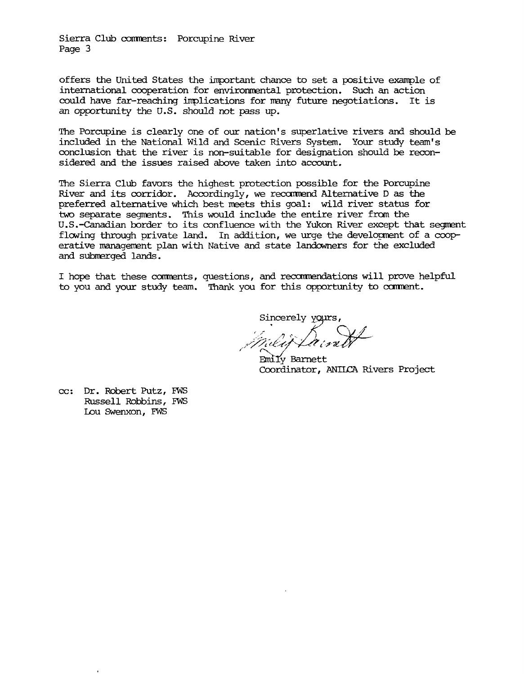Sierra Club comrents: Porcupine River Page 3

offers the United States the important chance to set a positive example of international cooperation for environmental protection. Such an action could have far-reaching implications for many future negotiations. It is an opportunity the U.S. should not pass up.

The Porcupine is clearly one of our nation's superlative rivers and should be included in the National Wild and Scenic Rivers System. Your study team's conclusion that the river is non-suitable for designation should be reconsidered and the issues raised above taken into account.

The Sierra Club favors the highest protection possible for the Porcupine River and its corridor. Accordingly, we recamend Alternative D as the preferred alternative which best meets this goal: wild river status for two separate segments. This would include the entire river from the U.S.-Canadian border to its confluence with the Yukon River except that segment flowing through private land. In addition, we urge the development of a cooperative management plan with Native and state landowners for the excluded and submerged lands.

I hope that these comments, questions, and recommendations will prove helpful to you and your study team. Thank you for this opportunity to cament.

Sincerely yours

 $\mathbb{Z} \times \mathbb{Z} \times \mathbb{Z}$ ,//;?it.£~/ . *'A l:r1LifrL-*

' *0-....\_j*  Emliy Barnett Coordinator, ANIICA Rivers Project

cc: Dr. Robert Putz, FWS Russell Robbins, FWS I.Du Swenxon, FWS